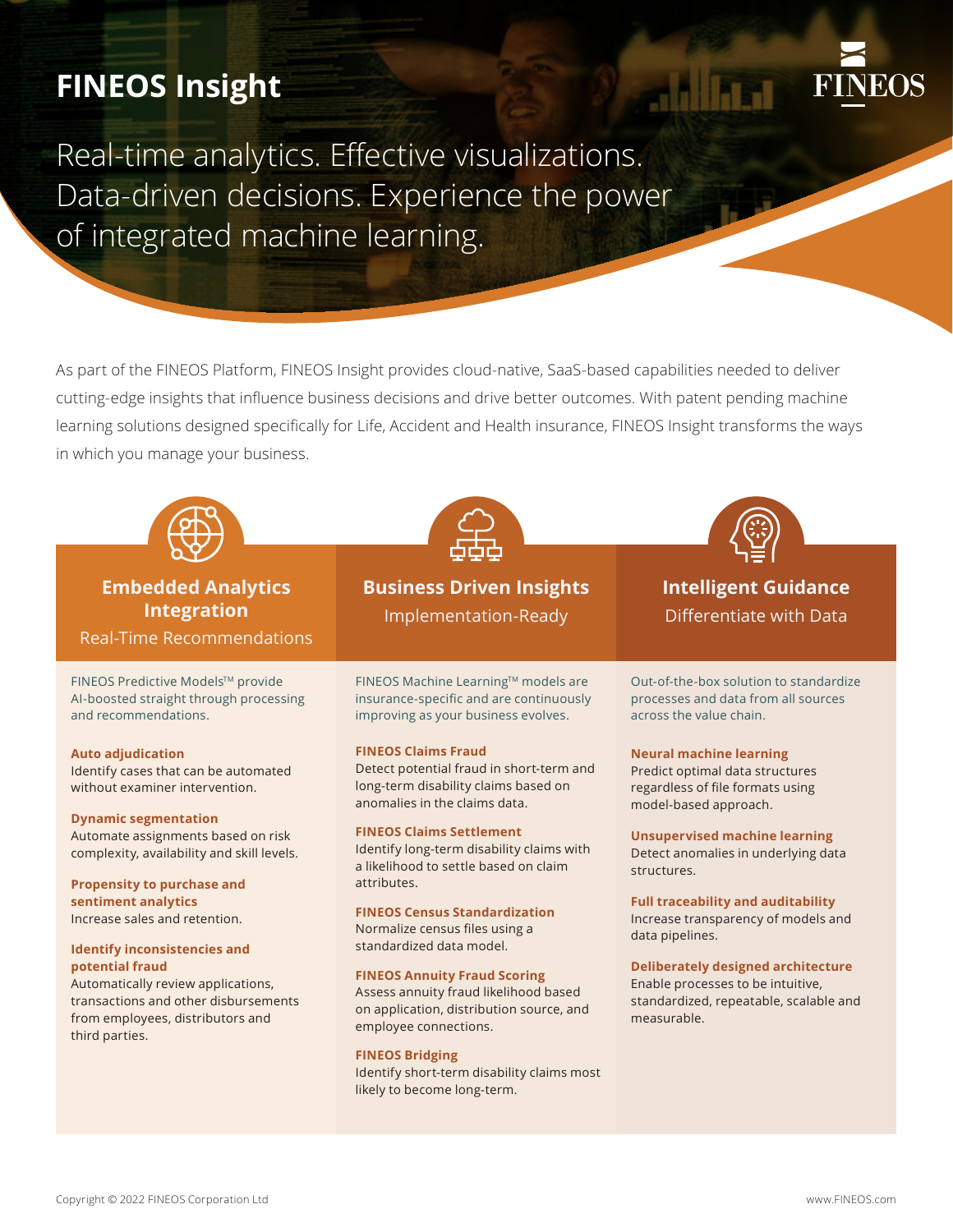# **FINEOS Insight**



Real-time analytics. Effective visualizations. Data-driven decisions. Experience the power of integrated machine learning.

As part of the FINEOS Platform, FINEOS Insight provides cloud-native, SaaS-based capabilities needed to deliver cutting-edge insights that influence business decisions and drive better outcomes. With patent pending machine learning solutions designed specifically for Life, Accident and Health insurance, FINEOS Insight transforms the ways in which you manage your business.



# **Embedded Analytics Integration**

Real-Time Recommendations

FINEOS Predictive Models™ provide AI-boosted straight through processing and recommendations.

**Auto adjudication** Identify cases that can be automated without examiner intervention.

### **Dynamic segmentation**

Automate assignments based on risk complexity, availability and skill levels.

**Propensity to purchase and sentiment analytics** Increase sales and retention.

### **Identify inconsistencies and potential fraud**

Automatically review applications, transactions and other disbursements from employees, distributors and third parties.



**Business Driven Insights**  Implementation-Ready

FINEOS Machine Learning™ models are insurance-specific and are continuously improving as your business evolves.

### **FINEOS Claims Fraud**

Detect potential fraud in short-term and long-term disability claims based on anomalies in the claims data.

### **FINEOS Claims Settlement**

Identify long-term disability claims with a likelihood to settle based on claim attributes.

### **FINEOS Census Standardization**

Normalize census files using a standardized data model.

### **FINEOS Annuity Fraud Scoring**

Assess annuity fraud likelihood based on application, distribution source, and employee connections.

### **FINEOS Bridging**

Identify short-term disability claims most likely to become long-term.



# **Intelligent Guidance** Differentiate with Data

Out-of-the-box solution to standardize processes and data from all sources across the value chain.

### **Neural machine learning**

Predict optimal data structures regardless of file formats using model-based approach.

### **Unsupervised machine learning**  Detect anomalies in underlying data structures.

**Full traceability and auditability** Increase transparency of models and data pipelines.

### **Deliberately designed architecture**

Enable processes to be intuitive, standardized, repeatable, scalable and measurable.